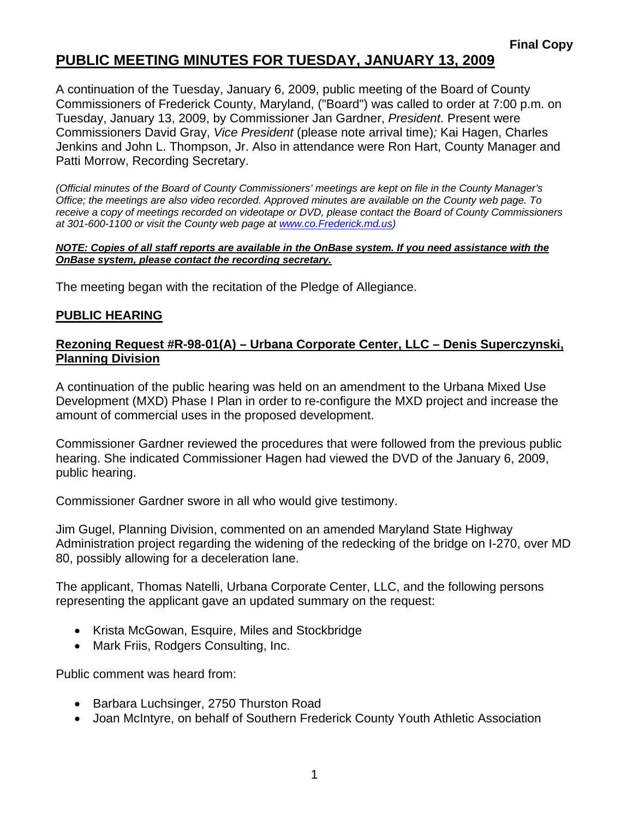## **PUBLIC MEETING MINUTES FOR TUESDAY, JANUARY 13, 2009**

A continuation of the Tuesday, January 6, 2009, public meeting of the Board of County Commissioners of Frederick County, Maryland, ("Board") was called to order at 7:00 p.m. on Tuesday, January 13, 2009, by Commissioner Jan Gardner, *President*. Present were Commissioners David Gray, *Vice President* (please note arrival time)*;* Kai Hagen, Charles Jenkins and John L. Thompson, Jr. Also in attendance were Ron Hart, County Manager and Patti Morrow, Recording Secretary.

*(Official minutes of the Board of County Commissioners' meetings are kept on file in the County Manager's Office; the meetings are also video recorded. Approved minutes are available on the County web page. To receive a copy of meetings recorded on videotape or DVD, please contact the Board of County Commissioners at 301-600-1100 or visit the County web page at [www.co](http://www.co/).Frederick.md.us)* 

#### *NOTE: Copies of all staff reports are available in the OnBase system. If you need assistance with the OnBase system, please contact the recording secretary.*

The meeting began with the recitation of the Pledge of Allegiance.

### **PUBLIC HEARING**

### **Rezoning Request #R-98-01(A) – Urbana Corporate Center, LLC – Denis Superczynski, Planning Division**

A continuation of the public hearing was held on an amendment to the Urbana Mixed Use Development (MXD) Phase I Plan in order to re-configure the MXD project and increase the amount of commercial uses in the proposed development.

Commissioner Gardner reviewed the procedures that were followed from the previous public hearing. She indicated Commissioner Hagen had viewed the DVD of the January 6, 2009, public hearing.

Commissioner Gardner swore in all who would give testimony.

Jim Gugel, Planning Division, commented on an amended Maryland State Highway Administration project regarding the widening of the redecking of the bridge on I-270, over MD 80, possibly allowing for a deceleration lane.

The applicant, Thomas Natelli, Urbana Corporate Center, LLC, and the following persons representing the applicant gave an updated summary on the request:

- Krista McGowan, Esquire, Miles and Stockbridge
- Mark Friis, Rodgers Consulting, Inc.

Public comment was heard from:

- Barbara Luchsinger, 2750 Thurston Road
- Joan McIntyre, on behalf of Southern Frederick County Youth Athletic Association